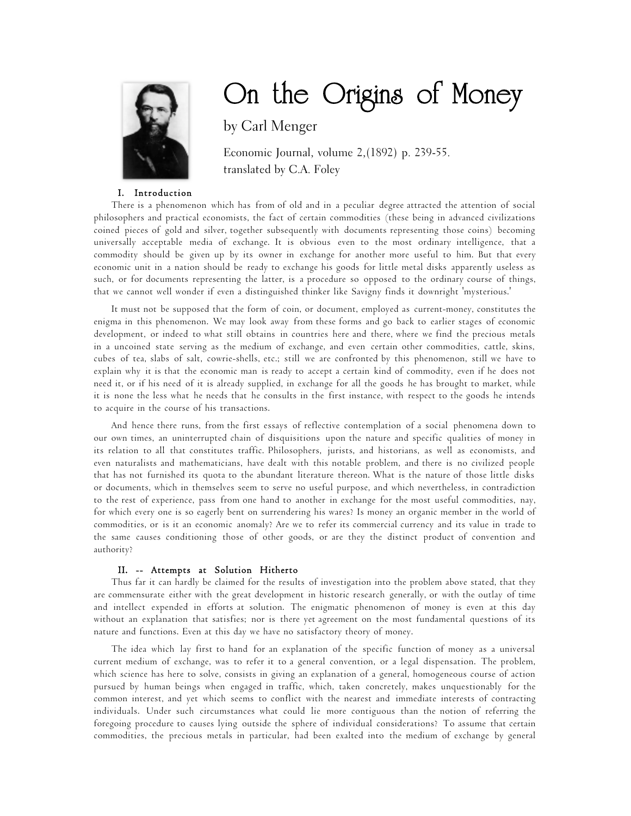

# On the Origins of Money

by Carl Menger

Economic Journal, volume 2,(1892) p. 239-55. translated by C.A. Foley

# I. Introduction

There is a phenomenon which has from of old and in a peculiar degree attracted the attention of social philosophers and practical economists, the fact of certain commodities (these being in advanced civilizations coined pieces of gold and silver, together subsequently with documents representing those coins) becoming universally acceptable media of exchange. It is obvious even to the most ordinary intelligence, that a commodity should be given up by its owner in exchange for another more useful to him. But that every economic unit in a nation should be ready to exchange his goods for little metal disks apparently useless as such, or for documents representing the latter, is a procedure so opposed to the ordinary course of things, that we cannot well wonder if even a distinguished thinker like Savigny finds it downright 'mysterious.'

It must not be supposed that the form of coin, or document, employed as current-money, constitutes the enigma in this phenomenon. We may look away from these forms and go back to earlier stages of economic development, or indeed to what still obtains in countries here and there, where we find the precious metals in a uncoined state serving as the medium of exchange, and even certain other commodities, cattle, skins, cubes of tea, slabs of salt, cowrie-shells, etc.; still we are confronted by this phenomenon, still we have to explain why it is that the economic man is ready to accept a certain kind of commodity, even if he does not need it, or if his need of it is already supplied, in exchange for all the goods he has brought to market, while it is none the less what he needs that he consults in the first instance, with respect to the goods he intends to acquire in the course of his transactions.

And hence there runs, from the first essays of reflective contemplation of a social phenomena down to our own times, an uninterrupted chain of disquisitions upon the nature and specific qualities of money in its relation to all that constitutes traffic. Philosophers, jurists, and historians, as well as economists, and even naturalists and mathematicians, have dealt with this notable problem, and there is no civilized people that has not furnished its quota to the abundant literature thereon. What is the nature of those little disks or documents, which in themselves seem to serve no useful purpose, and which nevertheless, in contradiction to the rest of experience, pass from one hand to another in exchange for the most useful commodities, nay, for which every one is so eagerly bent on surrendering his wares? Is money an organic member in the world of commodities, or is it an economic anomaly? Are we to refer its commercial currency and its value in trade to the same causes conditioning those of other goods, or are they the distinct product of convention and authority?

### II. -- Attempts at Solution Hitherto

Thus far it can hardly be claimed for the results of investigation into the problem above stated, that they are commensurate either with the great development in historic research generally, or with the outlay of time and intellect expended in efforts at solution. The enigmatic phenomenon of money is even at this day without an explanation that satisfies; nor is there yet agreement on the most fundamental questions of its nature and functions. Even at this day we have no satisfactory theory of money.

The idea which lay first to hand for an explanation of the specific function of money as a universal current medium of exchange, was to refer it to a general convention, or a legal dispensation. The problem, which science has here to solve, consists in giving an explanation of a general, homogeneous course of action pursued by human beings when engaged in traffic, which, taken concretely, makes unquestionably for the common interest, and yet which seems to conflict with the nearest and immediate interests of contracting individuals. Under such circumstances what could lie more contiguous than the notion of referring the foregoing procedure to causes lying outside the sphere of individual considerations? To assume that certain commodities, the precious metals in particular, had been exalted into the medium of exchange by general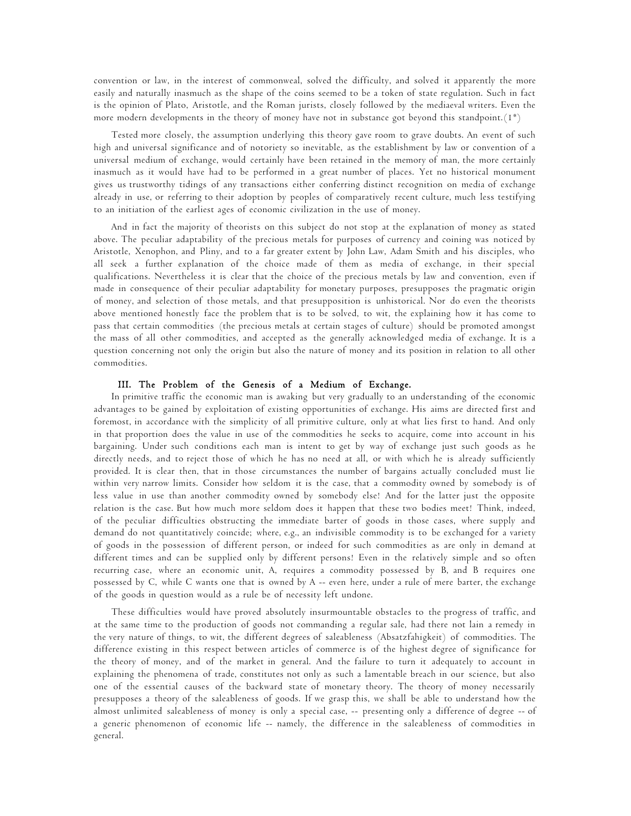convention or law, in the interest of commonweal, solved the difficulty, and solved it apparently the more easily and naturally inasmuch as the shape of the coins seemed to be a token of state regulation. Such in fact is the opinion of Plato, Aristotle, and the Roman jurists, closely followed by the mediaeval writers. Even the more modern developments in the theory of money have not in substance got beyond this standpoint.(1\*)

Tested more closely, the assumption underlying this theory gave room to grave doubts. An event of such high and universal significance and of notoriety so inevitable, as the establishment by law or convention of a universal medium of exchange, would certainly have been retained in the memory of man, the more certainly inasmuch as it would have had to be performed in a great number of places. Yet no historical monument gives us trustworthy tidings of any transactions either conferring distinct recognition on media of exchange already in use, or referring to their adoption by peoples of comparatively recent culture, much less testifying to an initiation of the earliest ages of economic civilization in the use of money.

And in fact the majority of theorists on this subject do not stop at the explanation of money as stated above. The peculiar adaptability of the precious metals for purposes of currency and coining was noticed by Aristotle, Xenophon, and Pliny, and to a far greater extent by John Law, Adam Smith and his disciples, who all seek a further explanation of the choice made of them as media of exchange, in their special qualifications. Nevertheless it is clear that the choice of the precious metals by law and convention, even if made in consequence of their peculiar adaptability for monetary purposes, presupposes the pragmatic origin of money, and selection of those metals, and that presupposition is unhistorical. Nor do even the theorists above mentioned honestly face the problem that is to be solved, to wit, the explaining how it has come to pass that certain commodities (the precious metals at certain stages of culture) should be promoted amongst the mass of all other commodities, and accepted as the generally acknowledged media of exchange. It is a question concerning not only the origin but also the nature of money and its position in relation to all other commodities.

# III. The Problem of the Genesis of a Medium of Exchange.

In primitive traffic the economic man is awaking but very gradually to an understanding of the economic advantages to be gained by exploitation of existing opportunities of exchange. His aims are directed first and foremost, in accordance with the simplicity of all primitive culture, only at what lies first to hand. And only in that proportion does the value in use of the commodities he seeks to acquire, come into account in his bargaining. Under such conditions each man is intent to get by way of exchange just such goods as he directly needs, and to reject those of which he has no need at all, or with which he is already sufficiently provided. It is clear then, that in those circumstances the number of bargains actually concluded must lie within very narrow limits. Consider how seldom it is the case, that a commodity owned by somebody is of less value in use than another commodity owned by somebody else! And for the latter just the opposite relation is the case. But how much more seldom does it happen that these two bodies meet! Think, indeed, of the peculiar difficulties obstructing the immediate barter of goods in those cases, where supply and demand do not quantitatively coincide; where, e.g., an indivisible commodity is to be exchanged for a variety of goods in the possession of different person, or indeed for such commodities as are only in demand at different times and can be supplied only by different persons! Even in the relatively simple and so often recurring case, where an economic unit, A, requires a commodity possessed by B, and B requires one possessed by C, while C wants one that is owned by A -- even here, under a rule of mere barter, the exchange of the goods in question would as a rule be of necessity left undone.

These difficulties would have proved absolutely insurmountable obstacles to the progress of traffic, and at the same time to the production of goods not commanding a regular sale, had there not lain a remedy in the very nature of things, to wit, the different degrees of saleableness (Absatzfahigkeit) of commodities. The difference existing in this respect between articles of commerce is of the highest degree of significance for the theory of money, and of the market in general. And the failure to turn it adequately to account in explaining the phenomena of trade, constitutes not only as such a lamentable breach in our science, but also one of the essential causes of the backward state of monetary theory. The theory of money necessarily presupposes a theory of the saleableness of goods. If we grasp this, we shall be able to understand how the almost unlimited saleableness of money is only a special case, -- presenting only a difference of degree -- of a generic phenomenon of economic life -- namely, the difference in the saleableness of commodities in general.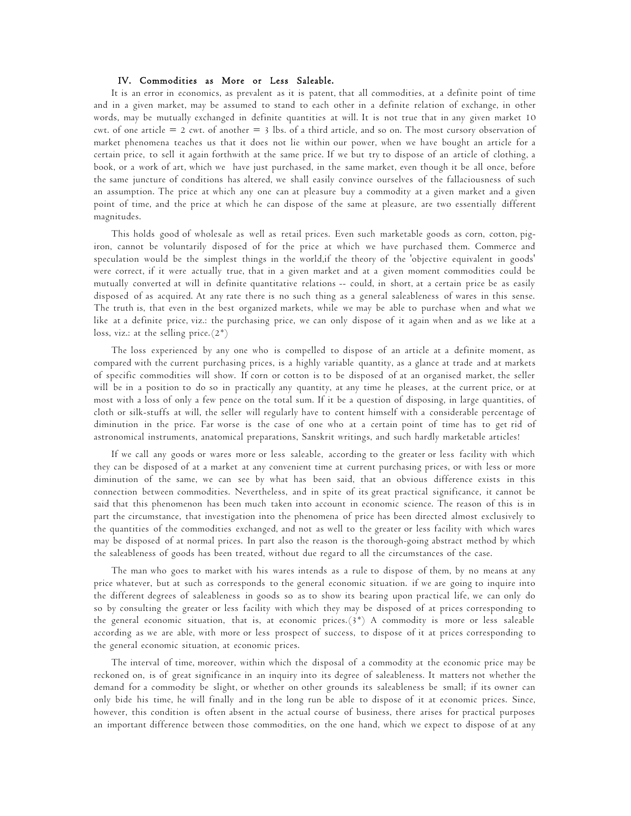## IV. Commodities as More or Less Saleable.

It is an error in economics, as prevalent as it is patent, that all commodities, at a definite point of time and in a given market, may be assumed to stand to each other in a definite relation of exchange, in other words, may be mutually exchanged in definite quantities at will. It is not true that in any given market 10 cwt. of one article = 2 cwt. of another = 3 lbs. of a third article, and so on. The most cursory observation of market phenomena teaches us that it does not lie within our power, when we have bought an article for a certain price, to sell it again forthwith at the same price. If we but try to dispose of an article of clothing, a book, or a work of art, which we have just purchased, in the same market, even though it be all once, before the same juncture of conditions has altered, we shall easily convince ourselves of the fallaciousness of such an assumption. The price at which any one can at pleasure buy a commodity at a given market and a given point of time, and the price at which he can dispose of the same at pleasure, are two essentially different magnitudes.

This holds good of wholesale as well as retail prices. Even such marketable goods as corn, cotton, pigiron, cannot be voluntarily disposed of for the price at which we have purchased them. Commerce and speculation would be the simplest things in the world,if the theory of the 'objective equivalent in goods' were correct, if it were actually true, that in a given market and at a given moment commodities could be mutually converted at will in definite quantitative relations -- could, in short, at a certain price be as easily disposed of as acquired. At any rate there is no such thing as a general saleableness of wares in this sense. The truth is, that even in the best organized markets, while we may be able to purchase when and what we like at a definite price, viz.: the purchasing price, we can only dispose of it again when and as we like at a loss, viz.: at the selling price. $(2^*)$ 

The loss experienced by any one who is compelled to dispose of an article at a definite moment, as compared with the current purchasing prices, is a highly variable quantity, as a glance at trade and at markets of specific commodities will show. If corn or cotton is to be disposed of at an organised market, the seller will be in a position to do so in practically any quantity, at any time he pleases, at the current price, or at most with a loss of only a few pence on the total sum. If it be a question of disposing, in large quantities, of cloth or silk-stuffs at will, the seller will regularly have to content himself with a considerable percentage of diminution in the price. Far worse is the case of one who at a certain point of time has to get rid of astronomical instruments, anatomical preparations, Sanskrit writings, and such hardly marketable articles!

If we call any goods or wares more or less saleable, according to the greater or less facility with which they can be disposed of at a market at any convenient time at current purchasing prices, or with less or more diminution of the same, we can see by what has been said, that an obvious difference exists in this connection between commodities. Nevertheless, and in spite of its great practical significance, it cannot be said that this phenomenon has been much taken into account in economic science. The reason of this is in part the circumstance, that investigation into the phenomena of price has been directed almost exclusively to the quantities of the commodities exchanged, and not as well to the greater or less facility with which wares may be disposed of at normal prices. In part also the reason is the thorough-going abstract method by which the saleableness of goods has been treated, without due regard to all the circumstances of the case.

The man who goes to market with his wares intends as a rule to dispose of them, by no means at any price whatever, but at such as corresponds to the general economic situation. if we are going to inquire into the different degrees of saleableness in goods so as to show its bearing upon practical life, we can only do so by consulting the greater or less facility with which they may be disposed of at prices corresponding to the general economic situation, that is, at economic prices. $(3^*)$  A commodity is more or less saleable according as we are able, with more or less prospect of success, to dispose of it at prices corresponding to the general economic situation, at economic prices.

The interval of time, moreover, within which the disposal of a commodity at the economic price may be reckoned on, is of great significance in an inquiry into its degree of saleableness. It matters not whether the demand for a commodity be slight, or whether on other grounds its saleableness be small; if its owner can only bide his time, he will finally and in the long run be able to dispose of it at economic prices. Since, however, this condition is often absent in the actual course of business, there arises for practical purposes an important difference between those commodities, on the one hand, which we expect to dispose of at any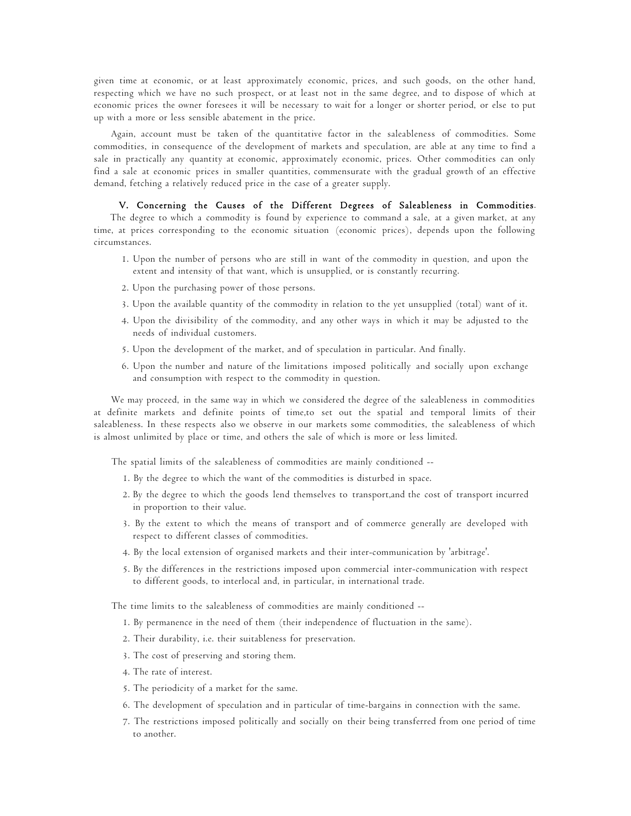given time at economic, or at least approximately economic, prices, and such goods, on the other hand, respecting which we have no such prospect, or at least not in the same degree, and to dispose of which at economic prices the owner foresees it will be necessary to wait for a longer or shorter period, or else to put up with a more or less sensible abatement in the price.

Again, account must be taken of the quantitative factor in the saleableness of commodities. Some commodities, in consequence of the development of markets and speculation, are able at any time to find a sale in practically any quantity at economic, approximately economic, prices. Other commodities can only find a sale at economic prices in smaller quantities, commensurate with the gradual growth of an effective demand, fetching a relatively reduced price in the case of a greater supply.

 V. Concerning the Causes of the Different Degrees of Saleableness in Commodities. The degree to which a commodity is found by experience to command a sale, at a given market, at any time, at prices corresponding to the economic situation (economic prices), depends upon the following circumstances.

- 1. Upon the number of persons who are still in want of the commodity in question, and upon the extent and intensity of that want, which is unsupplied, or is constantly recurring.
- 2. Upon the purchasing power of those persons.
- 3. Upon the available quantity of the commodity in relation to the yet unsupplied (total) want of it.
- 4. Upon the divisibility of the commodity, and any other ways in which it may be adjusted to the needs of individual customers.
- 5. Upon the development of the market, and of speculation in particular. And finally.
- 6. Upon the number and nature of the limitations imposed politically and socially upon exchange and consumption with respect to the commodity in question.

We may proceed, in the same way in which we considered the degree of the saleableness in commodities at definite markets and definite points of time,to set out the spatial and temporal limits of their saleableness. In these respects also we observe in our markets some commodities, the saleableness of which is almost unlimited by place or time, and others the sale of which is more or less limited.

The spatial limits of the saleableness of commodities are mainly conditioned --

- 1. By the degree to which the want of the commodities is disturbed in space.
- 2. By the degree to which the goods lend themselves to transport,and the cost of transport incurred in proportion to their value.
- 3. By the extent to which the means of transport and of commerce generally are developed with respect to different classes of commodities.
- 4. By the local extension of organised markets and their inter-communication by 'arbitrage'.
- 5. By the differences in the restrictions imposed upon commercial inter-communication with respect to different goods, to interlocal and, in particular, in international trade.

The time limits to the saleableness of commodities are mainly conditioned --

- 1. By permanence in the need of them (their independence of fluctuation in the same).
- 2. Their durability, i.e. their suitableness for preservation.
- 3. The cost of preserving and storing them.
- 4. The rate of interest.
- 5. The periodicity of a market for the same.
- 6. The development of speculation and in particular of time-bargains in connection with the same.
- 7. The restrictions imposed politically and socially on their being transferred from one period of time to another.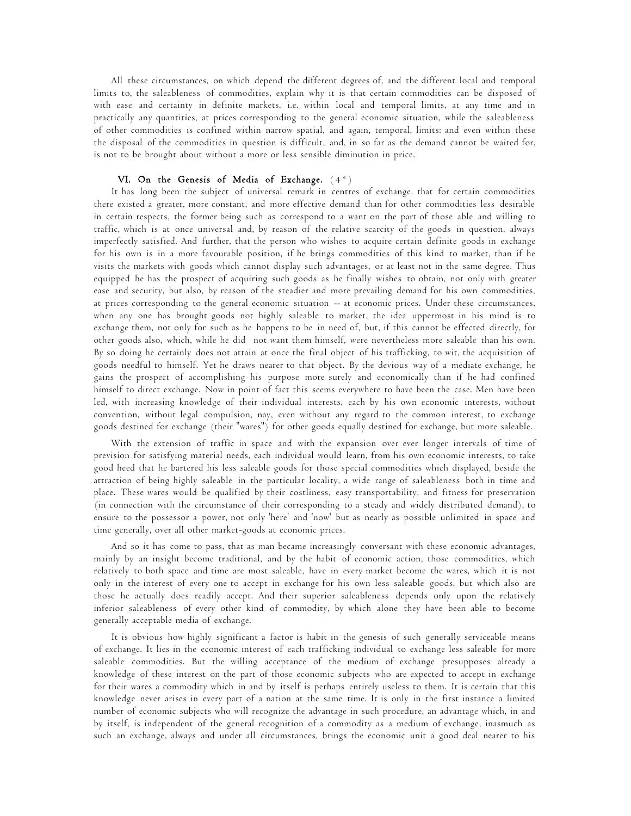All these circumstances, on which depend the different degrees of, and the different local and temporal limits to, the saleableness of commodities, explain why it is that certain commodities can be disposed of with ease and certainty in definite markets, i.e. within local and temporal limits, at any time and in practically any quantities, at prices corresponding to the general economic situation, while the saleableness of other commodities is confined within narrow spatial, and again, temporal, limits: and even within these the disposal of the commodities in question is difficult, and, in so far as the demand cannot be waited for, is not to be brought about without a more or less sensible diminution in price.

## VI. On the Genesis of Media of Exchange. (4\*)

It has long been the subject of universal remark in centres of exchange, that for certain commodities there existed a greater, more constant, and more effective demand than for other commodities less desirable in certain respects, the former being such as correspond to a want on the part of those able and willing to traffic, which is at once universal and, by reason of the relative scarcity of the goods in question, always imperfectly satisfied. And further, that the person who wishes to acquire certain definite goods in exchange for his own is in a more favourable position, if he brings commodities of this kind to market, than if he visits the markets with goods which cannot display such advantages, or at least not in the same degree. Thus equipped he has the prospect of acquiring such goods as he finally wishes to obtain, not only with greater ease and security, but also, by reason of the steadier and more prevailing demand for his own commodities, at prices corresponding to the general economic situation -- at economic prices. Under these circumstances, when any one has brought goods not highly saleable to market, the idea uppermost in his mind is to exchange them, not only for such as he happens to be in need of, but, if this cannot be effected directly, for other goods also, which, while he did not want them himself, were nevertheless more saleable than his own. By so doing he certainly does not attain at once the final object of his trafficking, to wit, the acquisition of goods needful to himself. Yet he draws nearer to that object. By the devious way of a mediate exchange, he gains the prospect of accomplishing his purpose more surely and economically than if he had confined himself to direct exchange. Now in point of fact this seems everywhere to have been the case. Men have been led, with increasing knowledge of their individual interests, each by his own economic interests, without convention, without legal compulsion, nay, even without any regard to the common interest, to exchange goods destined for exchange (their "wares") for other goods equally destined for exchange, but more saleable.

With the extension of traffic in space and with the expansion over ever longer intervals of time of prevision for satisfying material needs, each individual would learn, from his own economic interests, to take good heed that he bartered his less saleable goods for those special commodities which displayed, beside the attraction of being highly saleable in the particular locality, a wide range of saleableness both in time and place. These wares would be qualified by their costliness, easy transportability, and fitness for preservation (in connection with the circumstance of their corresponding to a steady and widely distributed demand), to ensure to the possessor a power, not only 'here' and 'now' but as nearly as possible unlimited in space and time generally, over all other market-goods at economic prices.

And so it has come to pass, that as man became increasingly conversant with these economic advantages, mainly by an insight become traditional, and by the habit of economic action, those commodities, which relatively to both space and time are most saleable, have in every market become the wares, which it is not only in the interest of every one to accept in exchange for his own less saleable goods, but which also are those he actually does readily accept. And their superior saleableness depends only upon the relatively inferior saleableness of every other kind of commodity, by which alone they have been able to become generally acceptable media of exchange.

It is obvious how highly significant a factor is habit in the genesis of such generally serviceable means of exchange. It lies in the economic interest of each trafficking individual to exchange less saleable for more saleable commodities. But the willing acceptance of the medium of exchange presupposes already a knowledge of these interest on the part of those economic subjects who are expected to accept in exchange for their wares a commodity which in and by itself is perhaps entirely useless to them. It is certain that this knowledge never arises in every part of a nation at the same time. It is only in the first instance a limited number of economic subjects who will recognize the advantage in such procedure, an advantage which, in and by itself, is independent of the general recognition of a commodity as a medium of exchange, inasmuch as such an exchange, always and under all circumstances, brings the economic unit a good deal nearer to his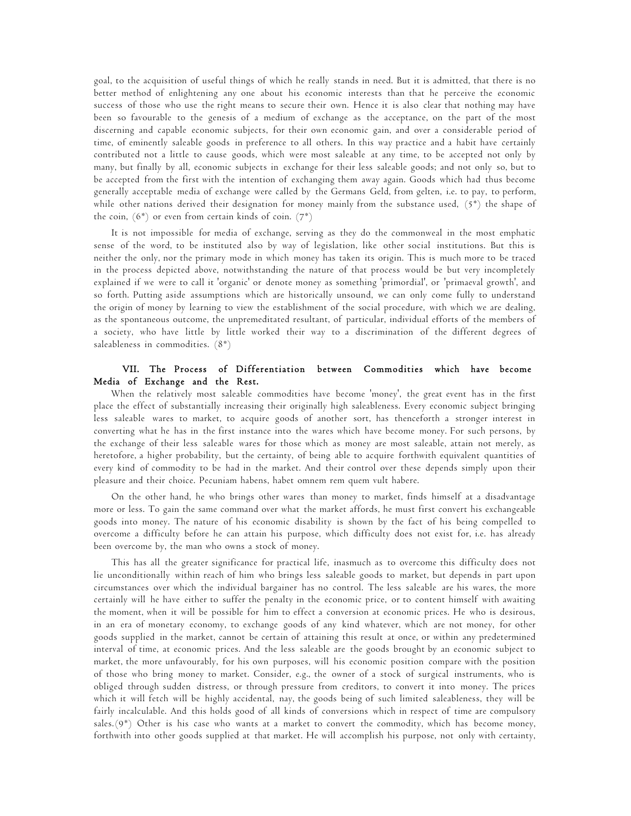goal, to the acquisition of useful things of which he really stands in need. But it is admitted, that there is no better method of enlightening any one about his economic interests than that he perceive the economic success of those who use the right means to secure their own. Hence it is also clear that nothing may have been so favourable to the genesis of a medium of exchange as the acceptance, on the part of the most discerning and capable economic subjects, for their own economic gain, and over a considerable period of time, of eminently saleable goods in preference to all others. In this way practice and a habit have certainly contributed not a little to cause goods, which were most saleable at any time, to be accepted not only by many, but finally by all, economic subjects in exchange for their less saleable goods; and not only so, but to be accepted from the first with the intention of exchanging them away again. Goods which had thus become generally acceptable media of exchange were called by the Germans Geld, from gelten, i.e. to pay, to perform, while other nations derived their designation for money mainly from the substance used, (5\*) the shape of the coin,  $(6^*)$  or even from certain kinds of coin.  $(7^*)$ 

It is not impossible for media of exchange, serving as they do the commonweal in the most emphatic sense of the word, to be instituted also by way of legislation, like other social institutions. But this is neither the only, nor the primary mode in which money has taken its origin. This is much more to be traced in the process depicted above, notwithstanding the nature of that process would be but very incompletely explained if we were to call it 'organic' or denote money as something 'primordial', or 'primaeval growth', and so forth. Putting aside assumptions which are historically unsound, we can only come fully to understand the origin of money by learning to view the establishment of the social procedure, with which we are dealing, as the spontaneous outcome, the unpremeditated resultant, of particular, individual efforts of the members of a society, who have little by little worked their way to a discrimination of the different degrees of saleableness in commodities. (8\*)

# VII. The Process of Differentiation between Commodities which have become Media of Exchange and the Rest.

When the relatively most saleable commodities have become 'money', the great event has in the first place the effect of substantially increasing their originally high saleableness. Every economic subject bringing less saleable wares to market, to acquire goods of another sort, has thenceforth a stronger interest in converting what he has in the first instance into the wares which have become money. For such persons, by the exchange of their less saleable wares for those which as money are most saleable, attain not merely, as heretofore, a higher probability, but the certainty, of being able to acquire forthwith equivalent quantities of every kind of commodity to be had in the market. And their control over these depends simply upon their pleasure and their choice. Pecuniam habens, habet omnem rem quem vult habere.

On the other hand, he who brings other wares than money to market, finds himself at a disadvantage more or less. To gain the same command over what the market affords, he must first convert his exchangeable goods into money. The nature of his economic disability is shown by the fact of his being compelled to overcome a difficulty before he can attain his purpose, which difficulty does not exist for, i.e. has already been overcome by, the man who owns a stock of money.

This has all the greater significance for practical life, inasmuch as to overcome this difficulty does not lie unconditionally within reach of him who brings less saleable goods to market, but depends in part upon circumstances over which the individual bargainer has no control. The less saleable are his wares, the more certainly will he have either to suffer the penalty in the economic price, or to content himself with awaiting the moment, when it will be possible for him to effect a conversion at economic prices. He who is desirous, in an era of monetary economy, to exchange goods of any kind whatever, which are not money, for other goods supplied in the market, cannot be certain of attaining this result at once, or within any predetermined interval of time, at economic prices. And the less saleable are the goods brought by an economic subject to market, the more unfavourably, for his own purposes, will his economic position compare with the position of those who bring money to market. Consider, e.g., the owner of a stock of surgical instruments, who is obliged through sudden distress, or through pressure from creditors, to convert it into money. The prices which it will fetch will be highly accidental, nay, the goods being of such limited saleableness, they will be fairly incalculable. And this holds good of all kinds of conversions which in respect of time are compulsory sales.(9\*) Other is his case who wants at a market to convert the commodity, which has become money, forthwith into other goods supplied at that market. He will accomplish his purpose, not only with certainty,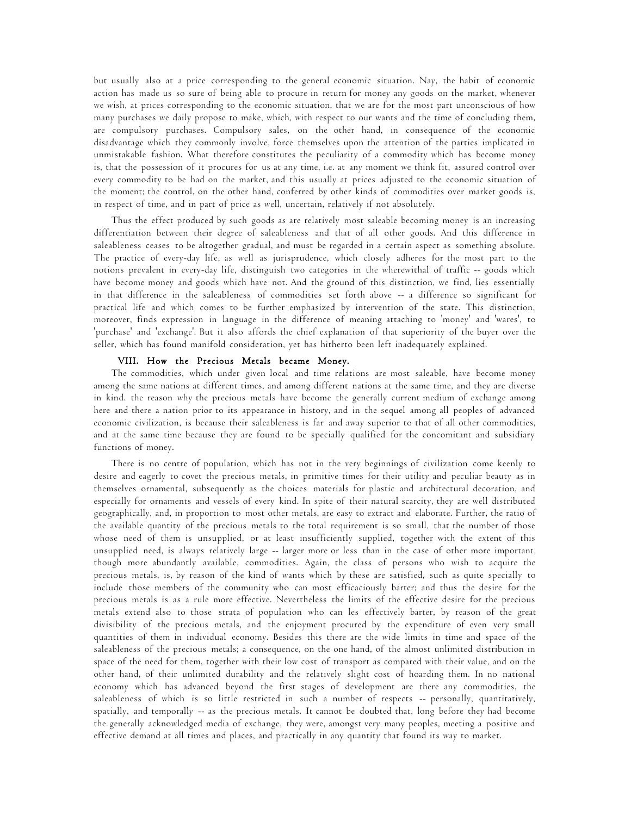but usually also at a price corresponding to the general economic situation. Nay, the habit of economic action has made us so sure of being able to procure in return for money any goods on the market, whenever we wish, at prices corresponding to the economic situation, that we are for the most part unconscious of how many purchases we daily propose to make, which, with respect to our wants and the time of concluding them, are compulsory purchases. Compulsory sales, on the other hand, in consequence of the economic disadvantage which they commonly involve, force themselves upon the attention of the parties implicated in unmistakable fashion. What therefore constitutes the peculiarity of a commodity which has become money is, that the possession of it procures for us at any time, i.e. at any moment we think fit, assured control over every commodity to be had on the market, and this usually at prices adjusted to the economic situation of the moment; the control, on the other hand, conferred by other kinds of commodities over market goods is, in respect of time, and in part of price as well, uncertain, relatively if not absolutely.

Thus the effect produced by such goods as are relatively most saleable becoming money is an increasing differentiation between their degree of saleableness and that of all other goods. And this difference in saleableness ceases to be altogether gradual, and must be regarded in a certain aspect as something absolute. The practice of every-day life, as well as jurisprudence, which closely adheres for the most part to the notions prevalent in every-day life, distinguish two categories in the wherewithal of traffic -- goods which have become money and goods which have not. And the ground of this distinction, we find, lies essentially in that difference in the saleableness of commodities set forth above -- a difference so significant for practical life and which comes to be further emphasized by intervention of the state. This distinction, moreover, finds expression in language in the difference of meaning attaching to 'money' and 'wares', to 'purchase' and 'exchange'. But it also affords the chief explanation of that superiority of the buyer over the seller, which has found manifold consideration, yet has hitherto been left inadequately explained.

## VIII. How the Precious Metals became Money.

The commodities, which under given local and time relations are most saleable, have become money among the same nations at different times, and among different nations at the same time, and they are diverse in kind. the reason why the precious metals have become the generally current medium of exchange among here and there a nation prior to its appearance in history, and in the sequel among all peoples of advanced economic civilization, is because their saleableness is far and away superior to that of all other commodities, and at the same time because they are found to be specially qualified for the concomitant and subsidiary functions of money.

There is no centre of population, which has not in the very beginnings of civilization come keenly to desire and eagerly to covet the precious metals, in primitive times for their utility and peculiar beauty as in themselves ornamental, subsequently as the choices materials for plastic and architectural decoration, and especially for ornaments and vessels of every kind. In spite of their natural scarcity, they are well distributed geographically, and, in proportion to most other metals, are easy to extract and elaborate. Further, the ratio of the available quantity of the precious metals to the total requirement is so small, that the number of those whose need of them is unsupplied, or at least insufficiently supplied, together with the extent of this unsupplied need, is always relatively large -- larger more or less than in the case of other more important, though more abundantly available, commodities. Again, the class of persons who wish to acquire the precious metals, is, by reason of the kind of wants which by these are satisfied, such as quite specially to include those members of the community who can most efficaciously barter; and thus the desire for the precious metals is as a rule more effective. Nevertheless the limits of the effective desire for the precious metals extend also to those strata of population who can les effectively barter, by reason of the great divisibility of the precious metals, and the enjoyment procured by the expenditure of even very small quantities of them in individual economy. Besides this there are the wide limits in time and space of the saleableness of the precious metals; a consequence, on the one hand, of the almost unlimited distribution in space of the need for them, together with their low cost of transport as compared with their value, and on the other hand, of their unlimited durability and the relatively slight cost of hoarding them. In no national economy which has advanced beyond the first stages of development are there any commodities, the saleableness of which is so little restricted in such a number of respects -- personally, quantitatively, spatially, and temporally -- as the precious metals. It cannot be doubted that, long before they had become the generally acknowledged media of exchange, they were, amongst very many peoples, meeting a positive and effective demand at all times and places, and practically in any quantity that found its way to market.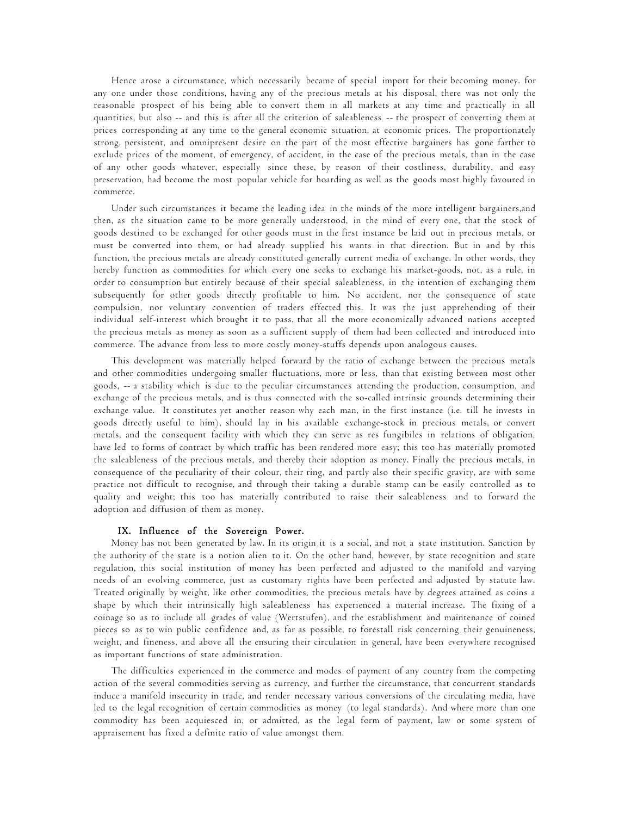Hence arose a circumstance, which necessarily became of special import for their becoming money. for any one under those conditions, having any of the precious metals at his disposal, there was not only the reasonable prospect of his being able to convert them in all markets at any time and practically in all quantities, but also -- and this is after all the criterion of saleableness -- the prospect of converting them at prices corresponding at any time to the general economic situation, at economic prices. The proportionately strong, persistent, and omnipresent desire on the part of the most effective bargainers has gone farther to exclude prices of the moment, of emergency, of accident, in the case of the precious metals, than in the case of any other goods whatever, especially since these, by reason of their costliness, durability, and easy preservation, had become the most popular vehicle for hoarding as well as the goods most highly favoured in commerce.

Under such circumstances it became the leading idea in the minds of the more intelligent bargainers,and then, as the situation came to be more generally understood, in the mind of every one, that the stock of goods destined to be exchanged for other goods must in the first instance be laid out in precious metals, or must be converted into them, or had already supplied his wants in that direction. But in and by this function, the precious metals are already constituted generally current media of exchange. In other words, they hereby function as commodities for which every one seeks to exchange his market-goods, not, as a rule, in order to consumption but entirely because of their special saleableness, in the intention of exchanging them subsequently for other goods directly profitable to him. No accident, nor the consequence of state compulsion, nor voluntary convention of traders effected this. It was the just apprehending of their individual self-interest which brought it to pass, that all the more economically advanced nations accepted the precious metals as money as soon as a sufficient supply of them had been collected and introduced into commerce. The advance from less to more costly money-stuffs depends upon analogous causes.

This development was materially helped forward by the ratio of exchange between the precious metals and other commodities undergoing smaller fluctuations, more or less, than that existing between most other goods, -- a stability which is due to the peculiar circumstances attending the production, consumption, and exchange of the precious metals, and is thus connected with the so-called intrinsic grounds determining their exchange value. It constitutes yet another reason why each man, in the first instance (i.e. till he invests in goods directly useful to him), should lay in his available exchange-stock in precious metals, or convert metals, and the consequent facility with which they can serve as res fungibiles in relations of obligation, have led to forms of contract by which traffic has been rendered more easy; this too has materially promoted the saleableness of the precious metals, and thereby their adoption as money. Finally the precious metals, in consequence of the peculiarity of their colour, their ring, and partly also their specific gravity, are with some practice not difficult to recognise, and through their taking a durable stamp can be easily controlled as to quality and weight; this too has materially contributed to raise their saleableness and to forward the adoption and diffusion of them as money.

#### IX. Influence of the Sovereign Power.

Money has not been generated by law. In its origin it is a social, and not a state institution. Sanction by the authority of the state is a notion alien to it. On the other hand, however, by state recognition and state regulation, this social institution of money has been perfected and adjusted to the manifold and varying needs of an evolving commerce, just as customary rights have been perfected and adjusted by statute law. Treated originally by weight, like other commodities, the precious metals have by degrees attained as coins a shape by which their intrinsically high saleableness has experienced a material increase. The fixing of a coinage so as to include all grades of value (Wertstufen), and the establishment and maintenance of coined pieces so as to win public confidence and, as far as possible, to forestall risk concerning their genuineness, weight, and fineness, and above all the ensuring their circulation in general, have been everywhere recognised as important functions of state administration.

The difficulties experienced in the commerce and modes of payment of any country from the competing action of the several commodities serving as currency, and further the circumstance, that concurrent standards induce a manifold insecurity in trade, and render necessary various conversions of the circulating media, have led to the legal recognition of certain commodities as money (to legal standards). And where more than one commodity has been acquiesced in, or admitted, as the legal form of payment, law or some system of appraisement has fixed a definite ratio of value amongst them.